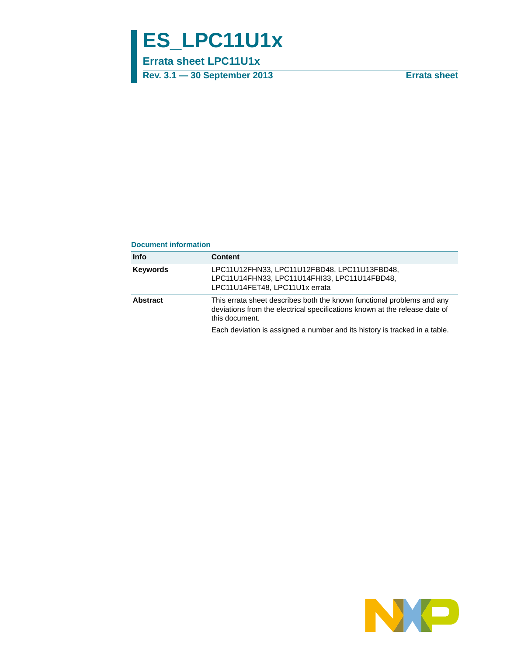# **ES\_LPC11U1x**

# **Errata sheet LPC11U1x**

**Rev. 3.1 — 30 September 2013 Errata sheet**

#### **Document information**

| <b>Info</b>     | <b>Content</b>                                                                                                                                                                                                                                       |
|-----------------|------------------------------------------------------------------------------------------------------------------------------------------------------------------------------------------------------------------------------------------------------|
| <b>Keywords</b> | LPC11U12FHN33, LPC11U12FBD48, LPC11U13FBD48,<br>LPC11U14FHN33, LPC11U14FHI33, LPC11U14FBD48,<br>LPC11U14FET48, LPC11U1x errata                                                                                                                       |
| <b>Abstract</b> | This errata sheet describes both the known functional problems and any<br>deviations from the electrical specifications known at the release date of<br>this document.<br>Each deviation is assigned a number and its history is tracked in a table. |

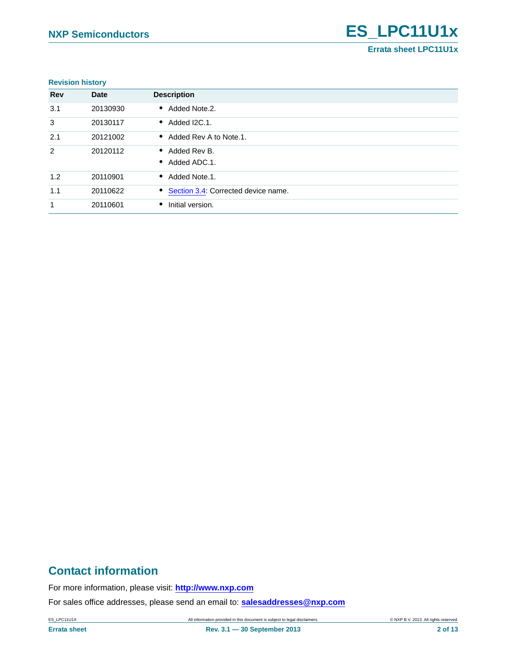#### **Revision history**

| <b>Rev</b> | <b>Date</b> | <b>Description</b>                    |
|------------|-------------|---------------------------------------|
| 3.1        | 20130930    | • Added Note.2.                       |
| 3          | 20130117    | $\bullet$ Added I2C.1.                |
| 2.1        | 20121002    | • Added Rev A to Note.1.              |
| 2          | 20120112    | • Added Rev B.                        |
|            |             | • Added ADC.1.                        |
| 1.2        | 20110901    | • Added Note.1.                       |
| 1.1        | 20110622    | • Section 3.4: Corrected device name. |
| 1          | 20110601    | Initial version.                      |

# **Contact information**

For more information, please visit: **http://www.nxp.com**

For sales office addresses, please send an email to: **salesaddresses@nxp.com**

ES\_LPC11U1X All information provided in this document is subject to legal disclaimers. © NXP B.V. 2013. All rights reserved.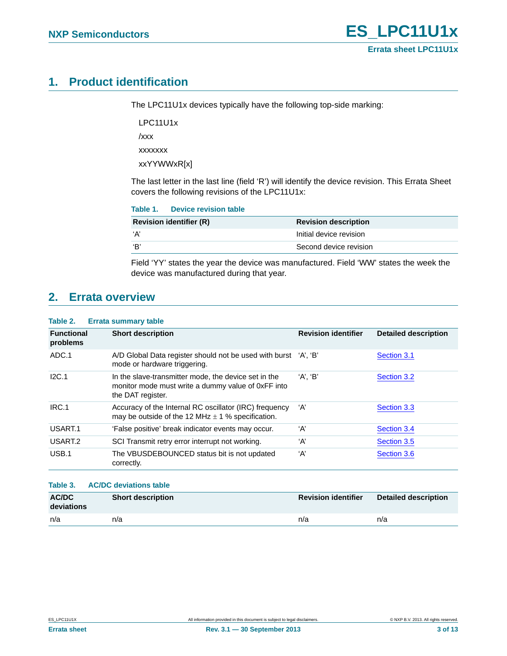# <span id="page-2-0"></span>**1. Product identification**

The LPC11U1x devices typically have the following top-side marking:

LPC11U1x

/xxx

xxxxxxx

xxYYWWxR[x]

The last letter in the last line (field 'R') will identify the device revision. This Errata Sheet covers the following revisions of the LPC11U1x:

| <b>Revision identifier (R)</b> | <b>Revision description</b> |
|--------------------------------|-----------------------------|
| ʻA'                            | Initial device revision     |
| ʻR'                            | Second device revision      |

Field 'YY' states the year the device was manufactured. Field 'WW' states the week the device was manufactured during that year.

# <span id="page-2-1"></span>**2. Errata overview**

#### **Table 2. Errata summary table**

| <b>Functional</b><br>problems | <b>Short description</b>                                                                                                        | <b>Revision identifier</b> | <b>Detailed description</b> |
|-------------------------------|---------------------------------------------------------------------------------------------------------------------------------|----------------------------|-----------------------------|
| ADC.1                         | A/D Global Data register should not be used with burst 'A', 'B'<br>mode or hardware triggering.                                 |                            | Section 3.1                 |
| I2C.1                         | In the slave-transmitter mode, the device set in the<br>monitor mode must write a dummy value of 0xFF into<br>the DAT register. | $'A$ ', $'B'$              | Section 3.2                 |
| IRC.1                         | Accuracy of the Internal RC oscillator (IRC) frequency<br>may be outside of the 12 MHz $\pm$ 1 % specification.                 | ʻA'                        | Section 3.3                 |
| USART.1                       | 'False positive' break indicator events may occur.                                                                              | ʻA'                        | Section 3.4                 |
| USART <sub>2</sub>            | SCI Transmit retry error interrupt not working.                                                                                 | ʻA'                        | Section 3.5                 |
| USB.1                         | The VBUSDEBOUNCED status bit is not updated<br>correctly.                                                                       | ʻA'                        | Section 3.6                 |

**Table 3. AC/DC deviations table**

| AC/DC<br>deviations | <b>Short description</b> | <b>Revision identifier</b> | Detailed description |
|---------------------|--------------------------|----------------------------|----------------------|
| n/a                 | n/a                      | n/a                        | n/a                  |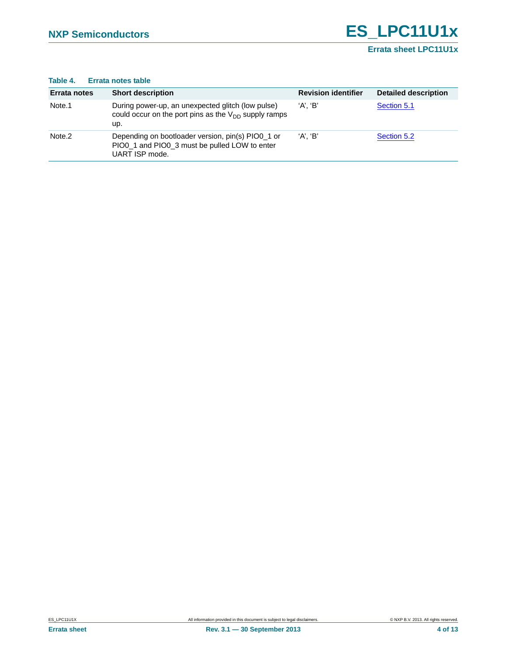| Errata notes       | <b>Short description</b>                                                                                              | <b>Revision identifier</b> | <b>Detailed description</b> |
|--------------------|-----------------------------------------------------------------------------------------------------------------------|----------------------------|-----------------------------|
| Note.1             | During power-up, an unexpected glitch (low pulse)<br>could occur on the port pins as the $V_{DD}$ supply ramps<br>up. | 'A'. 'B'                   | Section 5.1                 |
| Note <sub>.2</sub> | Depending on bootloader version, pin(s) PIO0_1 or<br>PIO0_1 and PIO0_3 must be pulled LOW to enter<br>UART ISP mode.  | 'A'. 'B'                   | Section 5.2                 |

#### **Table 4. Errata notes table**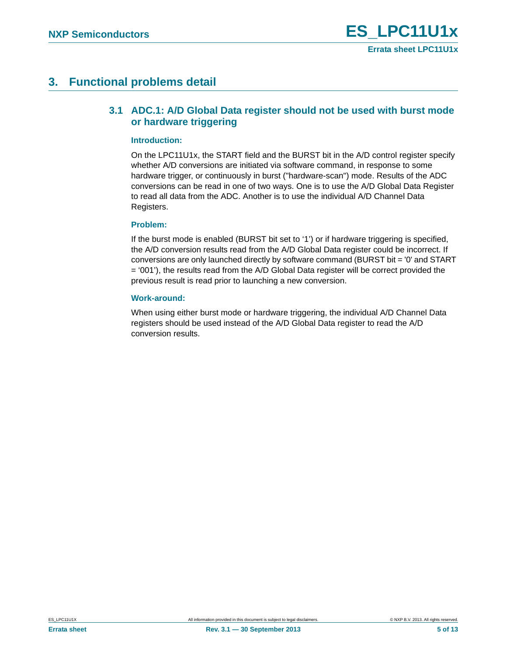# <span id="page-4-1"></span><span id="page-4-0"></span>**3. Functional problems detail**

## **3.1 ADC.1: A/D Global Data register should not be used with burst mode or hardware triggering**

#### **Introduction:**

On the LPC11U1x, the START field and the BURST bit in the A/D control register specify whether A/D conversions are initiated via software command, in response to some hardware trigger, or continuously in burst ("hardware-scan") mode. Results of the ADC conversions can be read in one of two ways. One is to use the A/D Global Data Register to read all data from the ADC. Another is to use the individual A/D Channel Data Registers.

#### **Problem:**

If the burst mode is enabled (BURST bit set to '1') or if hardware triggering is specified, the A/D conversion results read from the A/D Global Data register could be incorrect. If conversions are only launched directly by software command (BURST bit = '0' and START  $=$  '001'), the results read from the A/D Global Data register will be correct provided the previous result is read prior to launching a new conversion.

#### **Work-around:**

When using either burst mode or hardware triggering, the individual A/D Channel Data registers should be used instead of the A/D Global Data register to read the A/D conversion results.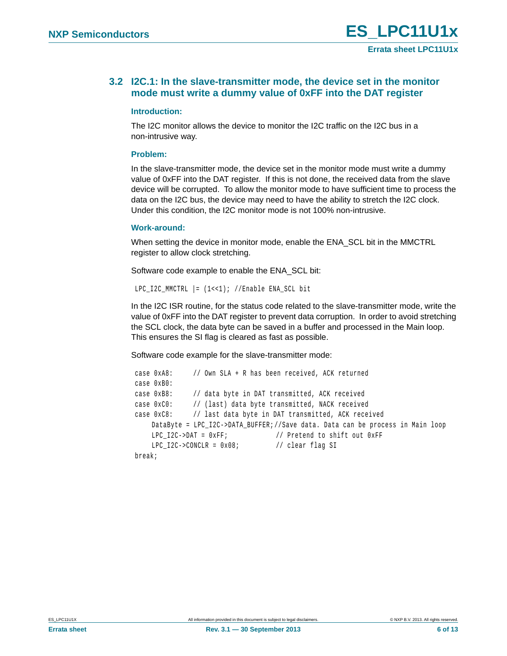## <span id="page-5-0"></span>**3.2 I2C.1: In the slave-transmitter mode, the device set in the monitor mode must write a dummy value of 0xFF into the DAT register**

#### **Introduction:**

The I2C monitor allows the device to monitor the I2C traffic on the I2C bus in a non-intrusive way.

#### **Problem:**

In the slave-transmitter mode, the device set in the monitor mode must write a dummy value of 0xFF into the DAT register. If this is not done, the received data from the slave device will be corrupted. To allow the monitor mode to have sufficient time to process the data on the I2C bus, the device may need to have the ability to stretch the I2C clock. Under this condition, the I2C monitor mode is not 100% non-intrusive.

#### **Work-around:**

When setting the device in monitor mode, enable the ENA\_SCL bit in the MMCTRL register to allow clock stretching.

Software code example to enable the ENA\_SCL bit:

```
LPC I2C MMCTRL | = (1 \lt \lt 1); //Enable ENA SCL bit
```
In the I2C ISR routine, for the status code related to the slave-transmitter mode, write the value of 0xFF into the DAT register to prevent data corruption. In order to avoid stretching the SCL clock, the data byte can be saved in a buffer and processed in the Main loop. This ensures the SI flag is cleared as fast as possible.

Software code example for the slave-transmitter mode:

```
 case 0xA8: // Own SLA + R has been received, ACK returned 
case 0xB0:
case 0xB8: // data byte in DAT transmitted, ACK received
case 0xC0: // (last) data byte transmitted, NACK received
case 0xC8: // last data byte in DAT transmitted, ACK received
   DataByte = LPC_I2C->DATA_BUFFER;//Save data. Data can be process in Main loop
   LPC I2C->DAT = 0xFF; // Pretend to shift out 0xFF
   LPC_12C->CONCLR = 0x08; // clear flag SI
break;
```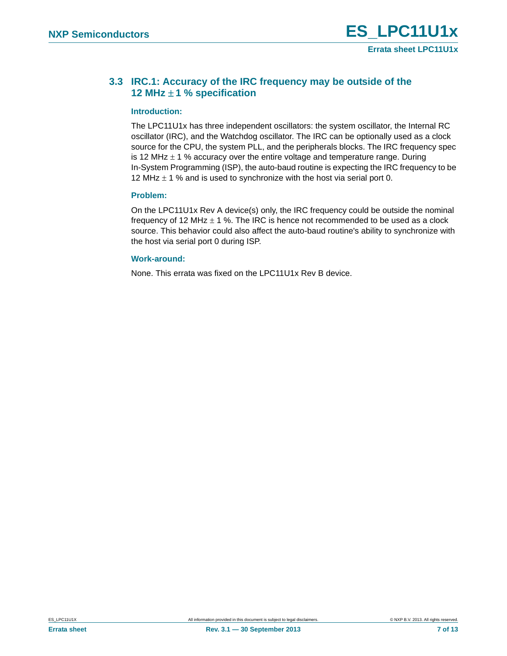## <span id="page-6-0"></span>**3.3 IRC.1: Accuracy of the IRC frequency may be outside of the 12 MHz 1 % specification**

#### **Introduction:**

The LPC11U1x has three independent oscillators: the system oscillator, the Internal RC oscillator (IRC), and the Watchdog oscillator. The IRC can be optionally used as a clock source for the CPU, the system PLL, and the peripherals blocks. The IRC frequency spec is 12 MHz  $\pm$  1 % accuracy over the entire voltage and temperature range. During In-System Programming (ISP), the auto-baud routine is expecting the IRC frequency to be 12 MHz  $\pm$  1 % and is used to synchronize with the host via serial port 0.

#### **Problem:**

On the LPC11U1x Rev A device(s) only, the IRC frequency could be outside the nominal frequency of 12 MHz  $\pm$  1 %. The IRC is hence not recommended to be used as a clock source. This behavior could also affect the auto-baud routine's ability to synchronize with the host via serial port 0 during ISP.

#### **Work-around:**

None. This errata was fixed on the LPC11U1x Rev B device.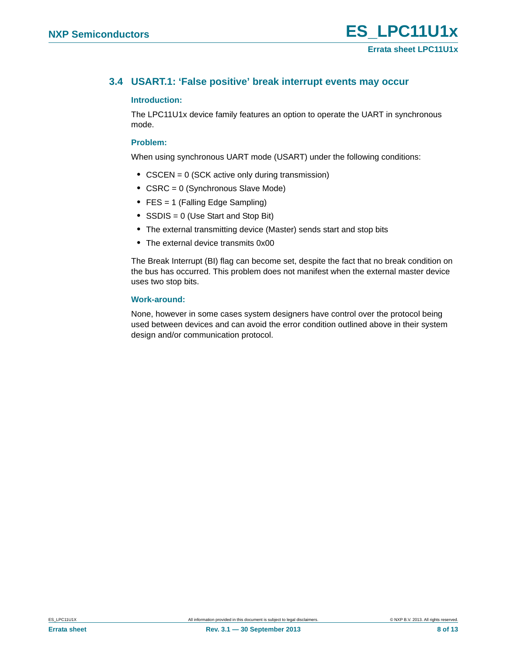# <span id="page-7-0"></span>**3.4 USART.1: 'False positive' break interrupt events may occur**

#### **Introduction:**

The LPC11U1x device family features an option to operate the UART in synchronous mode.

#### **Problem:**

When using synchronous UART mode (USART) under the following conditions:

- **•** CSCEN = 0 (SCK active only during transmission)
- **•** CSRC = 0 (Synchronous Slave Mode)
- **•** FES = 1 (Falling Edge Sampling)
- **•** SSDIS = 0 (Use Start and Stop Bit)
- **•** The external transmitting device (Master) sends start and stop bits
- **•** The external device transmits 0x00

The Break Interrupt (BI) flag can become set, despite the fact that no break condition on the bus has occurred. This problem does not manifest when the external master device uses two stop bits.

#### **Work-around:**

None, however in some cases system designers have control over the protocol being used between devices and can avoid the error condition outlined above in their system design and/or communication protocol.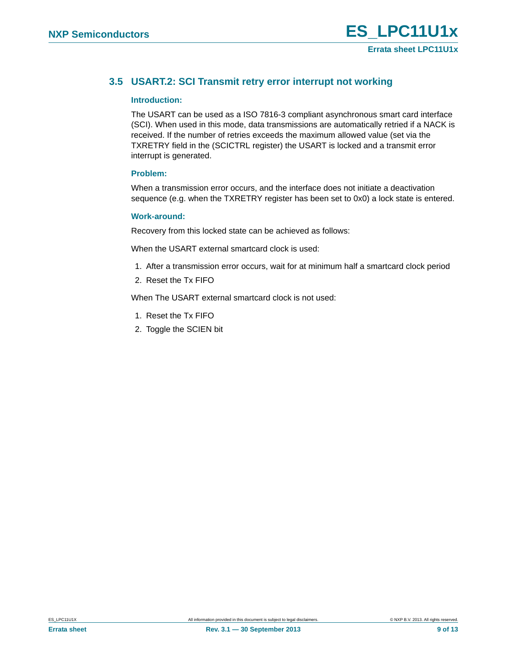# <span id="page-8-0"></span>**3.5 USART.2: SCI Transmit retry error interrupt not working**

#### **Introduction:**

The USART can be used as a ISO 7816-3 compliant asynchronous smart card interface (SCI). When used in this mode, data transmissions are automatically retried if a NACK is received. If the number of retries exceeds the maximum allowed value (set via the TXRETRY field in the (SCICTRL register) the USART is locked and a transmit error interrupt is generated.

#### **Problem:**

When a transmission error occurs, and the interface does not initiate a deactivation sequence (e.g. when the TXRETRY register has been set to 0x0) a lock state is entered.

#### **Work-around:**

Recovery from this locked state can be achieved as follows:

When the USART external smartcard clock is used:

- 1. After a transmission error occurs, wait for at minimum half a smartcard clock period
- 2. Reset the Tx FIFO

When The USART external smartcard clock is not used:

- 1. Reset the Tx FIFO
- 2. Toggle the SCIEN bit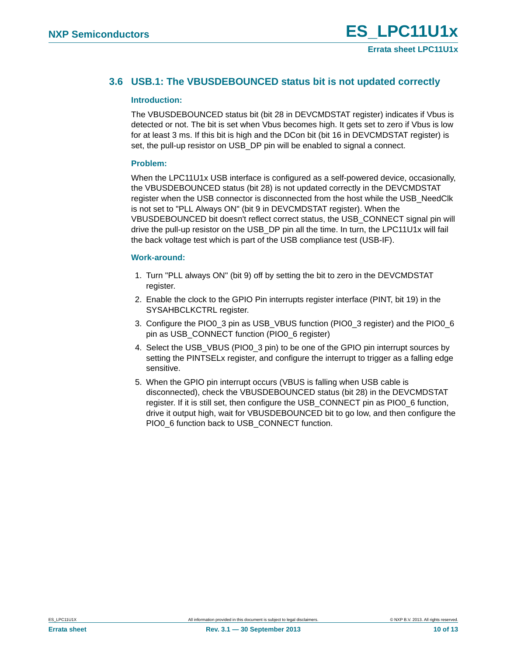## <span id="page-9-0"></span>**3.6 USB.1: The VBUSDEBOUNCED status bit is not updated correctly**

#### **Introduction:**

The VBUSDEBOUNCED status bit (bit 28 in DEVCMDSTAT register) indicates if Vbus is detected or not. The bit is set when Vbus becomes high. It gets set to zero if Vbus is low for at least 3 ms. If this bit is high and the DCon bit (bit 16 in DEVCMDSTAT register) is set, the pull-up resistor on USB\_DP pin will be enabled to signal a connect.

#### **Problem:**

When the LPC11U1x USB interface is configured as a self-powered device, occasionally, the VBUSDEBOUNCED status (bit 28) is not updated correctly in the DEVCMDSTAT register when the USB connector is disconnected from the host while the USB\_NeedClk is not set to "PLL Always ON" (bit 9 in DEVCMDSTAT register). When the VBUSDEBOUNCED bit doesn't reflect correct status, the USB\_CONNECT signal pin will drive the pull-up resistor on the USB\_DP pin all the time. In turn, the LPC11U1x will fail the back voltage test which is part of the USB compliance test (USB-IF).

#### **Work-around:**

- 1. Turn "PLL always ON" (bit 9) off by setting the bit to zero in the DEVCMDSTAT register.
- 2. Enable the clock to the GPIO Pin interrupts register interface (PINT, bit 19) in the SYSAHBCLKCTRL register.
- 3. Configure the PIO0\_3 pin as USB\_VBUS function (PIO0\_3 register) and the PIO0\_6 pin as USB\_CONNECT function (PIO0\_6 register)
- 4. Select the USB VBUS (PIO0 3 pin) to be one of the GPIO pin interrupt sources by setting the PINTSELx register, and configure the interrupt to trigger as a falling edge sensitive.
- 5. When the GPIO pin interrupt occurs (VBUS is falling when USB cable is disconnected), check the VBUSDEBOUNCED status (bit 28) in the DEVCMDSTAT register. If it is still set, then configure the USB\_CONNECT pin as PIO0\_6 function, drive it output high, wait for VBUSDEBOUNCED bit to go low, and then configure the PIO0\_6 function back to USB\_CONNECT function.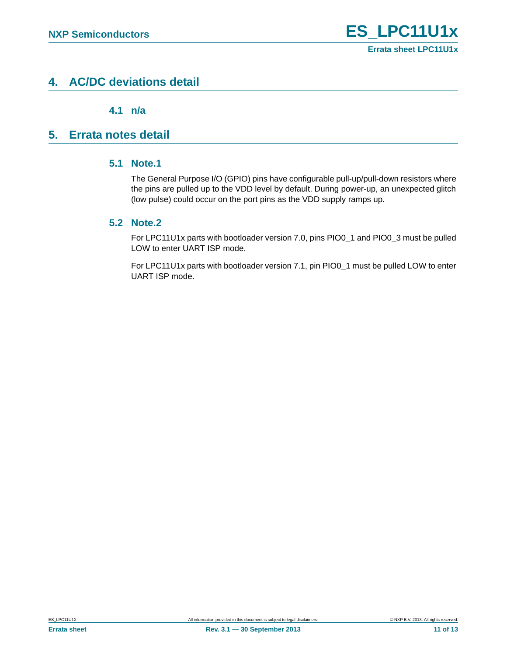# <span id="page-10-2"></span>**4. AC/DC deviations detail**

**4.1 n/a**

# <span id="page-10-4"></span><span id="page-10-3"></span><span id="page-10-0"></span>**5. Errata notes detail**

## **5.1 Note.1**

The General Purpose I/O (GPIO) pins have configurable pull-up/pull-down resistors where the pins are pulled up to the VDD level by default. During power-up, an unexpected glitch (low pulse) could occur on the port pins as the VDD supply ramps up.

## <span id="page-10-1"></span>**5.2 Note.2**

For LPC11U1x parts with bootloader version 7.0, pins PIO0\_1 and PIO0\_3 must be pulled LOW to enter UART ISP mode.

For LPC11U1x parts with bootloader version 7.1, pin PIO0\_1 must be pulled LOW to enter UART ISP mode.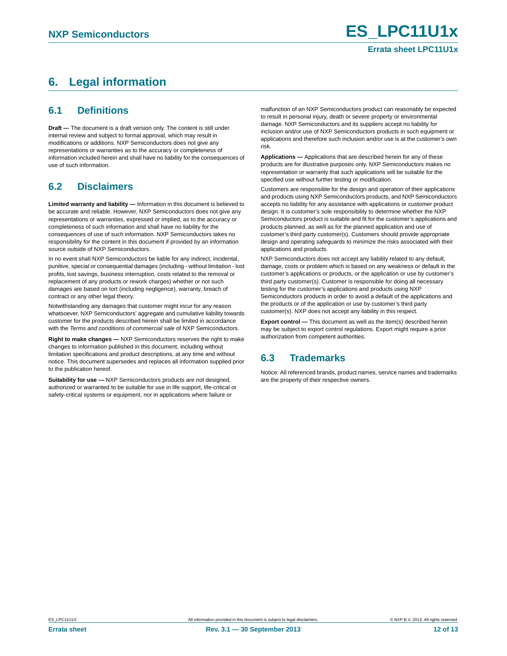# <span id="page-11-0"></span>**6. Legal information**

## <span id="page-11-1"></span>**6.1 Definitions**

**Draft —** The document is a draft version only. The content is still under internal review and subject to formal approval, which may result in modifications or additions. NXP Semiconductors does not give any representations or warranties as to the accuracy or completeness of information included herein and shall have no liability for the consequences of use of such information.

# <span id="page-11-2"></span>**6.2 Disclaimers**

**Limited warranty and liability —** Information in this document is believed to be accurate and reliable. However, NXP Semiconductors does not give any representations or warranties, expressed or implied, as to the accuracy or completeness of such information and shall have no liability for the consequences of use of such information. NXP Semiconductors takes no responsibility for the content in this document if provided by an information source outside of NXP Semiconductors.

In no event shall NXP Semiconductors be liable for any indirect, incidental, punitive, special or consequential damages (including - without limitation - lost profits, lost savings, business interruption, costs related to the removal or replacement of any products or rework charges) whether or not such damages are based on tort (including negligence), warranty, breach of contract or any other legal theory.

Notwithstanding any damages that customer might incur for any reason whatsoever, NXP Semiconductors' aggregate and cumulative liability towards customer for the products described herein shall be limited in accordance with the *Terms and conditions of commercial sale* of NXP Semiconductors.

**Right to make changes —** NXP Semiconductors reserves the right to make changes to information published in this document, including without limitation specifications and product descriptions, at any time and without notice. This document supersedes and replaces all information supplied prior to the publication hereof.

**Suitability for use —** NXP Semiconductors products are not designed, authorized or warranted to be suitable for use in life support, life-critical or safety-critical systems or equipment, nor in applications where failure or

malfunction of an NXP Semiconductors product can reasonably be expected to result in personal injury, death or severe property or environmental damage. NXP Semiconductors and its suppliers accept no liability for inclusion and/or use of NXP Semiconductors products in such equipment or applications and therefore such inclusion and/or use is at the customer's own risk.

**Applications —** Applications that are described herein for any of these products are for illustrative purposes only. NXP Semiconductors makes no representation or warranty that such applications will be suitable for the specified use without further testing or modification.

Customers are responsible for the design and operation of their applications and products using NXP Semiconductors products, and NXP Semiconductors accepts no liability for any assistance with applications or customer product design. It is customer's sole responsibility to determine whether the NXP Semiconductors product is suitable and fit for the customer's applications and products planned, as well as for the planned application and use of customer's third party customer(s). Customers should provide appropriate design and operating safeguards to minimize the risks associated with their applications and products.

NXP Semiconductors does not accept any liability related to any default, damage, costs or problem which is based on any weakness or default in the customer's applications or products, or the application or use by customer's third party customer(s). Customer is responsible for doing all necessary testing for the customer's applications and products using NXP Semiconductors products in order to avoid a default of the applications and the products or of the application or use by customer's third party customer(s). NXP does not accept any liability in this respect.

**Export control —** This document as well as the item(s) described herein may be subject to export control regulations. Export might require a prior authorization from competent authorities.

## <span id="page-11-3"></span>**6.3 Trademarks**

Notice: All referenced brands, product names, service names and trademarks are the property of their respective owners.